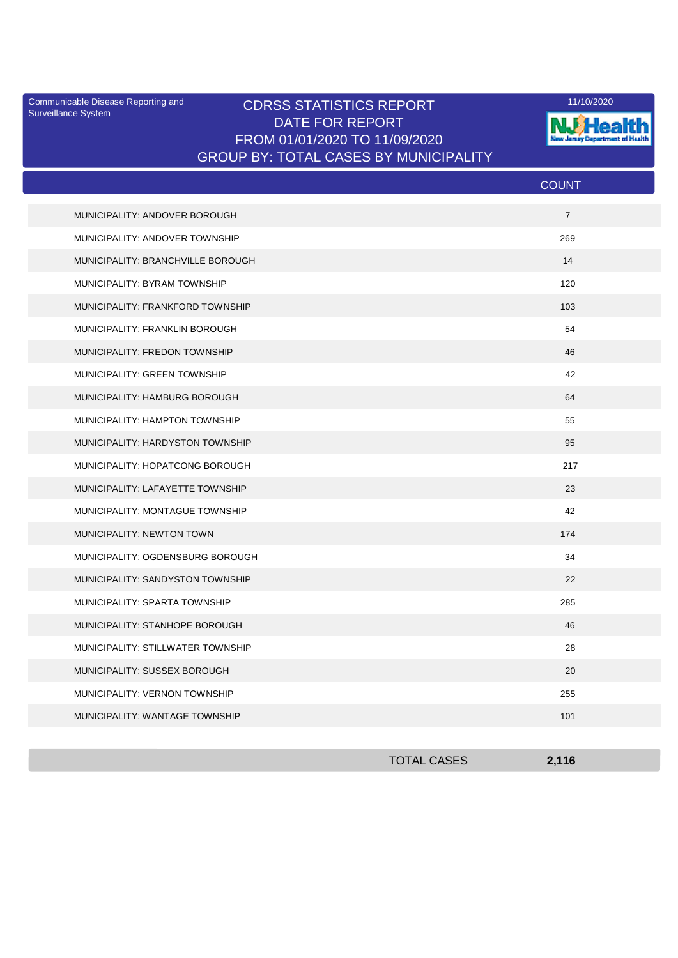Surveillance System

## Communicable Disease Reporting and **CDRSS STATISTICS REPORT** 11/10/2020<br>Surveillance Statem DATE FOR REPORT FROM 01/01/2020 TO 11/09/2020 GROUP BY: TOTAL CASES BY MUNICIPALITY



|                                       | <b>COUNT</b>   |
|---------------------------------------|----------------|
| MUNICIPALITY: ANDOVER BOROUGH         | $\overline{7}$ |
| MUNICIPALITY: ANDOVER TOWNSHIP        | 269            |
| MUNICIPALITY: BRANCHVILLE BOROUGH     | 14             |
| MUNICIPALITY: BYRAM TOWNSHIP          | 120            |
| MUNICIPALITY: FRANKFORD TOWNSHIP      | 103            |
| MUNICIPALITY: FRANKLIN BOROUGH        | 54             |
| MUNICIPALITY: FREDON TOWNSHIP         | 46             |
| MUNICIPALITY: GREEN TOWNSHIP          | 42             |
| MUNICIPALITY: HAMBURG BOROUGH         | 64             |
| MUNICIPALITY: HAMPTON TOWNSHIP        | 55             |
| MUNICIPALITY: HARDYSTON TOWNSHIP      | 95             |
| MUNICIPALITY: HOPATCONG BOROUGH       | 217            |
| MUNICIPALITY: LAFAYETTE TOWNSHIP      | 23             |
| MUNICIPALITY: MONTAGUE TOWNSHIP       | 42             |
| MUNICIPALITY: NEWTON TOWN             | 174            |
| MUNICIPALITY: OGDENSBURG BOROUGH      | 34             |
| MUNICIPALITY: SANDYSTON TOWNSHIP      | 22             |
| MUNICIPALITY: SPARTA TOWNSHIP         | 285            |
| MUNICIPALITY: STANHOPE BOROUGH        | 46             |
| MUNICIPALITY: STILLWATER TOWNSHIP     | 28             |
| MUNICIPALITY: SUSSEX BOROUGH          | 20             |
| MUNICIPALITY: VERNON TOWNSHIP         | 255            |
| <b>MUNICIPALITY: WANTAGE TOWNSHIP</b> | 101            |

| <b>TOTAL CASES</b> | 2,116 |
|--------------------|-------|
|                    |       |